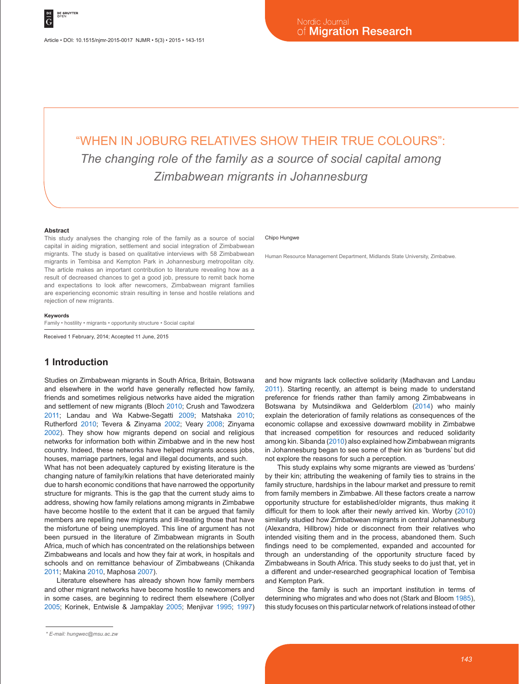Article • DOI: 10.1515/njmr-2015-0017 NJMR • 5(3) • 2015 • 143-151

# "WHEN IN JOBURG RELATIVES SHOW THEIR TRUE COLOURS": *The changing role of the family as a source of social capital among Zimbabwean migrants in Johannesburg*

#### **Abstract**

This study analyses the changing role of the family as a source of social capital in aiding migration, settlement and social integration of Zimbabwean migrants. The study is based on qualitative interviews with 58 Zimbabwean migrants in Tembisa and Kempton Park in Johannesburg metropolitan city. The article makes an important contribution to literature revealing how as a result of decreased chances to get a good job, pressure to remit back home and expectations to look after newcomers, Zimbabwean migrant families are experiencing economic strain resulting in tense and hostile relations and rejection of new migrants.

#### **Keywords**

Family • hostility • migrants • opportunity structure • Social capital

Received 1 February, 2014; Accepted 11 June, 2015

# **1 Introduction**

Studies on Zimbabwean migrants in South Africa, Britain, Botswana and elsewhere in the world have generally reflected how family, friends and sometimes religious networks have aided the migration and settlement of new migrants (Bloch 2010; Crush and Tawodzera 2011; Landau and Wa Kabwe-Segatti 2009; Matshaka 2010; Rutherford 2010; Tevera & Zinyama 2002; Veary 2008; Zinyama 2002). They show how migrants depend on social and religious networks for information both within Zimbabwe and in the new host country. Indeed, these networks have helped migrants access jobs, houses, marriage partners, legal and illegal documents, and such.

What has not been adequately captured by existing literature is the changing nature of family/kin relations that have deteriorated mainly due to harsh economic conditions that have narrowed the opportunity structure for migrants. This is the gap that the current study aims to address, showing how family relations among migrants in Zimbabwe have become hostile to the extent that it can be argued that family members are repelling new migrants and ill-treating those that have the misfortune of being unemployed. This line of argument has not been pursued in the literature of Zimbabwean migrants in South Africa, much of which has concentrated on the relationships between Zimbabweans and locals and how they fair at work, in hospitals and schools and on remittance behaviour of Zimbabweans (Chikanda 2011; Makina 2010, Maphosa 2007).

Literature elsewhere has already shown how family members and other migrant networks have become hostile to newcomers and in some cases, are beginning to redirect them elsewhere (Collyer 2005; Korinek, Entwisle & Jampaklay 2005; Menjivar 1995; 1997)

#### Chipo Hungwe

Human Resource Management Department, Midlands State University, Zimbabwe.

and how migrants lack collective solidarity (Madhavan and Landau 2011). Starting recently, an attempt is being made to understand preference for friends rather than family among Zimbabweans in Botswana by Mutsindikwa and Gelderblom (2014) who mainly explain the deterioration of family relations as consequences of the economic collapse and excessive downward mobility in Zimbabwe that increased competition for resources and reduced solidarity among kin. Sibanda (2010) also explained how Zimbabwean migrants in Johannesburg began to see some of their kin as 'burdens' but did not explore the reasons for such a perception.

This study explains why some migrants are viewed as 'burdens' by their kin; attributing the weakening of family ties to strains in the family structure, hardships in the labour market and pressure to remit from family members in Zimbabwe. All these factors create a narrow opportunity structure for established/older migrants, thus making it difficult for them to look after their newly arrived kin. Worby (2010) similarly studied how Zimbabwean migrants in central Johannesburg (Alexandra, Hillbrow) hide or disconnect from their relatives who intended visiting them and in the process, abandoned them. Such findings need to be complemented, expanded and accounted for through an understanding of the opportunity structure faced by Zimbabweans in South Africa. This study seeks to do just that, yet in a different and under-researched geographical location of Tembisa and Kempton Park.

Since the family is such an important institution in terms of determining who migrates and who does not (Stark and Bloom 1985), this study focuses on this particular network of relations instead of other

*<sup>\*</sup> E-mail: hungwec@msu.ac.zw*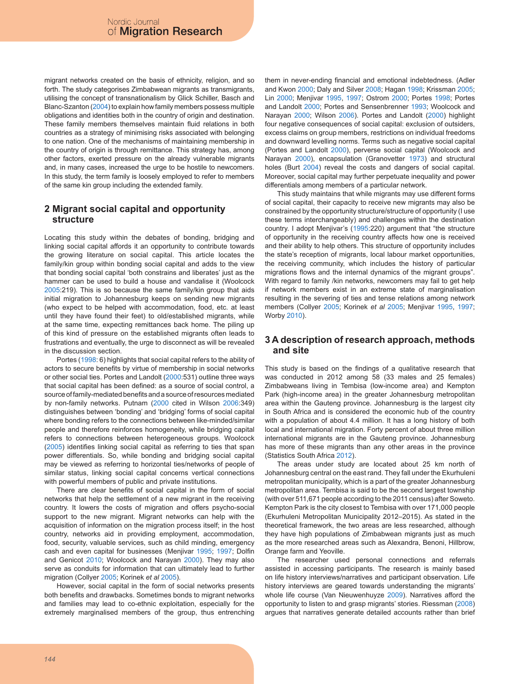migrant networks created on the basis of ethnicity, religion, and so forth. The study categorises Zimbabwean migrants as transmigrants, utilising the concept of transnationalism by Glick Schiller, Basch and Blanc-Szanton (2004) to explain how family members possess multiple obligations and identities both in the country of origin and destination. These family members themselves maintain fluid relations in both countries as a strategy of minimising risks associated with belonging to one nation. One of the mechanisms of maintaining membership in the country of origin is through remittance. This strategy has, among other factors, exerted pressure on the already vulnerable migrants and, in many cases, increased the urge to be hostile to newcomers. In this study, the term family is loosely employed to refer to members of the same kin group including the extended family.

## **2 Migrant social capital and opportunity structure**

Locating this study within the debates of bonding, bridging and linking social capital affords it an opportunity to contribute towards the growing literature on social capital. This article locates the family/kin group within bonding social capital and adds to the view that bonding social capital 'both constrains and liberates' just as the hammer can be used to build a house and vandalise it (Woolcock 2005:219). This is so because the same family/kin group that aids initial migration to Johannesburg keeps on sending new migrants (who expect to be helped with accommodation, food, etc. at least until they have found their feet) to old/established migrants, while at the same time, expecting remittances back home. The piling up of this kind of pressure on the established migrants often leads to frustrations and eventually, the urge to disconnect as will be revealed in the discussion section.

Portes (1998: 6) highlights that social capital refers to the ability of actors to secure benefits by virtue of membership in social networks or other social ties. Portes and Landolt (2000:531) outline three ways that social capital has been defined: as a source of social control, a source of family-mediated benefits and a source of resources mediated by non-family networks. Putnam (2000 cited in Wilson 2006:349) distinguishes between 'bonding' and 'bridging' forms of social capital where bonding refers to the connections between like-minded/similar people and therefore reinforces homogeneity, while bridging capital refers to connections between heterogeneous groups. Woolcock (2005) identifies linking social capital as referring to ties that span power differentials. So, while bonding and bridging social capital may be viewed as referring to horizontal ties/networks of people of similar status, linking social capital concerns vertical connections with powerful members of public and private institutions.

There are clear benefits of social capital in the form of social networks that help the settlement of a new migrant in the receiving country. It lowers the costs of migration and offers psycho-social support to the new migrant. Migrant networks can help with the acquisition of information on the migration process itself; in the host country, networks aid in providing employment, accommodation, food, security, valuable services, such as child minding, emergency cash and even capital for businesses (Menjivar 1995; 1997; Dolfin and Genicot 2010; Woolcock and Narayan 2000). They may also serve as conduits for information that can ultimately lead to further migration (Collyer 2005; Korinek *et al* 2005).

However, social capital in the form of social networks presents both benefits and drawbacks. Sometimes bonds to migrant networks and families may lead to co-ethnic exploitation, especially for the extremely marginalised members of the group, thus entrenching them in never-ending financial and emotional indebtedness. (Adler and Kwon 2000; Daly and Silver 2008; Hagan 1998; Krissman 2005; Lin 2000; Menjivar 1995, 1997; Ostrom 2000; Portes 1998; Portes and Landolt 2000; Portes and Sensenbrenner 1993; Woolcock and Narayan 2000; Wilson 2006). Portes and Landolt (2000) highlight four negative consequences of social capital: exclusion of outsiders, excess claims on group members, restrictions on individual freedoms and downward levelling norms. Terms such as negative social capital (Portes and Landolt 2000), perverse social capital (Woolcock and Narayan 2000), encapsulation (Granovetter 1973) and structural holes (Burt 2004) reveal the costs and dangers of social capital. Moreover, social capital may further perpetuate inequality and power differentials among members of a particular network.

This study maintains that while migrants may use different forms of social capital, their capacity to receive new migrants may also be constrained by the opportunity structure/structure of opportunity (I use these terms interchangeably) and challenges within the destination country. I adopt Menjivar's (1995:220) argument that "the structure of opportunity in the receiving country affects how one is received and their ability to help others. This structure of opportunity includes the state's reception of migrants, local labour market opportunities, the receiving community, which includes the history of particular migrations flows and the internal dynamics of the migrant groups". With regard to family /kin networks, newcomers may fail to get help if network members exist in an extreme state of marginalisation resulting in the severing of ties and tense relations among network members (Collyer 2005; Korinek *et al* 2005; Menjivar 1995, 1997; Worby 2010).

## **3 A description of research approach, methods and site**

This study is based on the findings of a qualitative research that was conducted in 2012 among 58 (33 males and 25 females) Zimbabweans living in Tembisa (low-income area) and Kempton Park (high-income area) in the greater Johannesburg metropolitan area within the Gauteng province. Johannesburg is the largest city in South Africa and is considered the economic hub of the country with a population of about 4.4 million. It has a long history of both local and international migration. Forty percent of about three million international migrants are in the Gauteng province. Johannesburg has more of these migrants than any other areas in the province (Statistics South Africa 2012).

The areas under study are located about 25 km north of Johannesburg central on the east rand. They fall under the Ekurhuleni metropolitan municipality, which is a part of the greater Johannesburg metropolitan area. Tembisa is said to be the second largest township (with over 511,671 people according to the 2011 census) after Soweto. Kempton Park is the city closest to Tembisa with over 171,000 people (Ekurhuleni Metropolitan Municipality 2012–2015). As stated in the theoretical framework, the two areas are less researched, although they have high populations of Zimbabwean migrants just as much as the more researched areas such as Alexandra, Benoni, Hillbrow, Orange farm and Yeoville.

The researcher used personal connections and referrals assisted in accessing participants. The research is mainly based on life history interviews/narratives and participant observation. Life history interviews are geared towards understanding the migrants' whole life course (Van Nieuwenhuyze 2009). Narratives afford the opportunity to listen to and grasp migrants' stories. Riessman (2008) argues that narratives generate detailed accounts rather than brief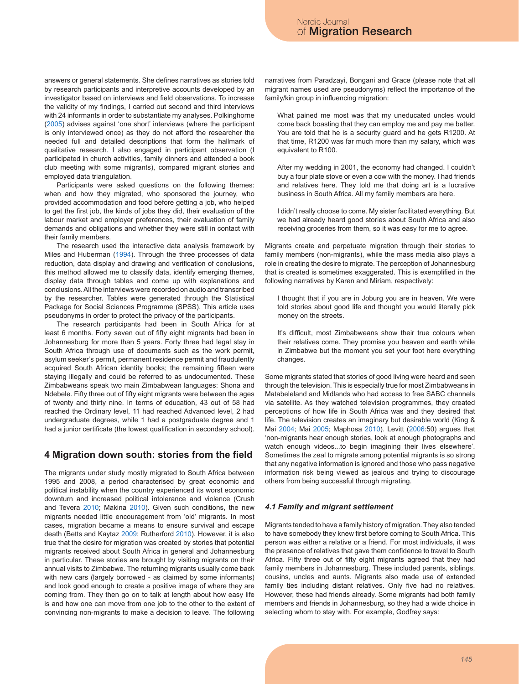answers or general statements. She defines narratives as stories told by research participants and interpretive accounts developed by an investigator based on interviews and field observations. To increase the validity of my findings, I carried out second and third interviews with 24 informants in order to substantiate my analyses. Polkinghorne (2005) advises against 'one short' interviews (where the participant is only interviewed once) as they do not afford the researcher the needed full and detailed descriptions that form the hallmark of qualitative research. I also engaged in participant observation (I participated in church activities, family dinners and attended a book club meeting with some migrants), compared migrant stories and employed data triangulation.

Participants were asked questions on the following themes: when and how they migrated, who sponsored the journey, who provided accommodation and food before getting a job, who helped to get the first job, the kinds of jobs they did, their evaluation of the labour market and employer preferences, their evaluation of family demands and obligations and whether they were still in contact with their family members.

The research used the interactive data analysis framework by Miles and Huberman (1994). Through the three processes of data reduction, data display and drawing and verification of conclusions, this method allowed me to classify data, identify emerging themes, display data through tables and come up with explanations and conclusions. All the interviews were recorded on audio and transcribed by the researcher. Tables were generated through the Statistical Package for Social Sciences Programme (SPSS). This article uses pseudonyms in order to protect the privacy of the participants.

The research participants had been in South Africa for at least 6 months. Forty seven out of fifty eight migrants had been in Johannesburg for more than 5 years. Forty three had legal stay in South Africa through use of documents such as the work permit, asylum seeker's permit, permanent residence permit and fraudulently acquired South African identity books; the remaining fifteen were staying illegally and could be referred to as undocumented. These Zimbabweans speak two main Zimbabwean languages: Shona and Ndebele. Fifty three out of fifty eight migrants were between the ages of twenty and thirty nine. In terms of education, 43 out of 58 had reached the Ordinary level, 11 had reached Advanced level, 2 had undergraduate degrees, while 1 had a postgraduate degree and 1 had a junior certificate (the lowest qualification in secondary school).

# **4 Migration down south: stories from the field**

The migrants under study mostly migrated to South Africa between 1995 and 2008, a period characterised by great economic and political instability when the country experienced its worst economic downturn and increased political intolerance and violence (Crush and Tevera 2010; Makina 2010). Given such conditions, the new migrants needed little encouragement from 'old' migrants. In most cases, migration became a means to ensure survival and escape death (Betts and Kaytaz 2009; Rutherford 2010). However, it is also true that the desire for migration was created by stories that potential migrants received about South Africa in general and Johannesburg in particular. These stories are brought by visiting migrants on their annual visits to Zimbabwe. The returning migrants usually come back with new cars (largely borrowed - as claimed by some informants) and look good enough to create a positive image of where they are coming from. They then go on to talk at length about how easy life is and how one can move from one job to the other to the extent of convincing non-migrants to make a decision to leave. The following

narratives from Paradzayi, Bongani and Grace (please note that all migrant names used are pseudonyms) reflect the importance of the family/kin group in influencing migration:

What pained me most was that my uneducated uncles would come back boasting that they can employ me and pay me better. You are told that he is a security guard and he gets R1200. At that time, R1200 was far much more than my salary, which was equivalent to R100.

After my wedding in 2001, the economy had changed. I couldn't buy a four plate stove or even a cow with the money. I had friends and relatives here. They told me that doing art is a lucrative business in South Africa. All my family members are here.

I didn't really choose to come. My sister facilitated everything. But we had already heard good stories about South Africa and also receiving groceries from them, so it was easy for me to agree.

Migrants create and perpetuate migration through their stories to family members (non-migrants), while the mass media also plays a role in creating the desire to migrate. The perception of Johannesburg that is created is sometimes exaggerated. This is exemplified in the following narratives by Karen and Miriam, respectively:

I thought that if you are in Joburg you are in heaven. We were told stories about good life and thought you would literally pick money on the streets.

It's difficult, most Zimbabweans show their true colours when their relatives come. They promise you heaven and earth while in Zimbabwe but the moment you set your foot here everything changes.

Some migrants stated that stories of good living were heard and seen through the television. This is especially true for most Zimbabweans in Matabeleland and Midlands who had access to free SABC channels via satellite. As they watched television programmes, they created perceptions of how life in South Africa was and they desired that life. The television creates an imaginary but desirable world (King & Mai 2004; Mai 2005; Maphosa 2010). Levitt (2006:50) argues that 'non-migrants hear enough stories, look at enough photographs and watch enough videos...to begin imagining their lives elsewhere'. Sometimes the zeal to migrate among potential migrants is so strong that any negative information is ignored and those who pass negative information risk being viewed as jealous and trying to discourage others from being successful through migrating.

### *4.1 Family and migrant settlement*

Migrants tended to have a family history of migration. They also tended to have somebody they knew first before coming to South Africa. This person was either a relative or a friend. For most individuals, it was the presence of relatives that gave them confidence to travel to South Africa. Fifty three out of fifty eight migrants agreed that they had family members in Johannesburg. These included parents, siblings, cousins, uncles and aunts. Migrants also made use of extended family ties including distant relatives. Only five had no relatives. However, these had friends already. Some migrants had both family members and friends in Johannesburg, so they had a wide choice in selecting whom to stay with. For example, Godfrey says: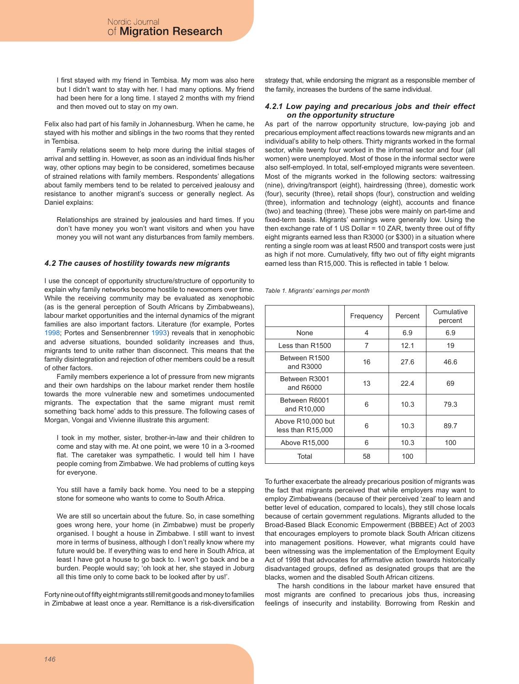I first stayed with my friend in Tembisa. My mom was also here but I didn't want to stay with her. I had many options. My friend had been here for a long time. I stayed 2 months with my friend and then moved out to stay on my own.

Felix also had part of his family in Johannesburg. When he came, he stayed with his mother and siblings in the two rooms that they rented in Tembisa.

Family relations seem to help more during the initial stages of arrival and settling in. However, as soon as an individual finds his/her way, other options may begin to be considered, sometimes because of strained relations with family members. Respondents' allegations about family members tend to be related to perceived jealousy and resistance to another migrant's success or generally neglect. As Daniel explains:

Relationships are strained by jealousies and hard times. If you don't have money you won't want visitors and when you have money you will not want any disturbances from family members.

#### *4.2 The causes of hostility towards new migrants*

I use the concept of opportunity structure/structure of opportunity to explain why family networks become hostile to newcomers over time. While the receiving community may be evaluated as xenophobic (as is the general perception of South Africans by Zimbabweans), labour market opportunities and the internal dynamics of the migrant families are also important factors. Literature (for example, Portes 1998; Portes and Sensenbrenner 1993) reveals that in xenophobic and adverse situations, bounded solidarity increases and thus, migrants tend to unite rather than disconnect. This means that the family disintegration and rejection of other members could be a result of other factors.

Family members experience a lot of pressure from new migrants and their own hardships on the labour market render them hostile towards the more vulnerable new and sometimes undocumented migrants. The expectation that the same migrant must remit something 'back home' adds to this pressure. The following cases of Morgan, Vongai and Vivienne illustrate this argument:

I took in my mother, sister, brother-in-law and their children to come and stay with me. At one point, we were 10 in a 3-roomed flat. The caretaker was sympathetic. I would tell him I have people coming from Zimbabwe. We had problems of cutting keys for everyone.

You still have a family back home. You need to be a stepping stone for someone who wants to come to South Africa.

We are still so uncertain about the future. So, in case something goes wrong here, your home (in Zimbabwe) must be properly organised. I bought a house in Zimbabwe. I still want to invest more in terms of business, although I don't really know where my future would be. If everything was to end here in South Africa, at least I have got a house to go back to. I won't go back and be a burden. People would say; 'oh look at her, she stayed in Joburg all this time only to come back to be looked after by us!'.

Forty nine out of fifty eight migrants still remit goods and money to families in Zimbabwe at least once a year. Remittance is a risk-diversification strategy that, while endorsing the migrant as a responsible member of the family, increases the burdens of the same individual.

#### *4.2.1 Low paying and precarious jobs and their effect on the opportunity structure*

As part of the narrow opportunity structure, low-paying job and precarious employment affect reactions towards new migrants and an individual's ability to help others. Thirty migrants worked in the formal sector, while twenty four worked in the informal sector and four (all women) were unemployed. Most of those in the informal sector were also self-employed. In total, self-employed migrants were seventeen. Most of the migrants worked in the following sectors: waitressing (nine), driving/transport (eight), hairdressing (three), domestic work (four), security (three), retail shops (four), construction and welding (three), information and technology (eight), accounts and finance (two) and teaching (three). These jobs were mainly on part-time and fixed-term basis. Migrants' earnings were generally low. Using the then exchange rate of 1 US Dollar = 10 ZAR, twenty three out of fifty eight migrants earned less than R3000 (or \$300) in a situation where renting a single room was at least R500 and transport costs were just as high if not more. Cumulatively, fifty two out of fifty eight migrants earned less than R15,000. This is reflected in table 1 below.

*Table 1. Migrants' earnings per month*

|                                        | Frequency | Percent | Cumulative<br>percent |
|----------------------------------------|-----------|---------|-----------------------|
| None                                   | 4         | 6.9     | 6.9                   |
| Less than R1500                        | 7         | 12.1    | 19                    |
| Between R1500<br>and R3000             | 16        | 27.6    | 46.6                  |
| Between R3001<br>and R6000             | 13        | 22.4    | 69                    |
| Between R6001<br>and R10,000           | 6         | 10.3    | 79.3                  |
| Above R10,000 but<br>less than R15,000 | 6         | 10.3    | 89.7                  |
| Above R15,000                          | 6         | 10.3    | 100                   |
| Total                                  | 58        | 100     |                       |

To further exacerbate the already precarious position of migrants was the fact that migrants perceived that while employers may want to employ Zimbabweans (because of their perceived 'zeal' to learn and better level of education, compared to locals), they still chose locals because of certain government regulations. Migrants alluded to the Broad-Based Black Economic Empowerment (BBBEE) Act of 2003 that encourages employers to promote black South African citizens into management positions. However, what migrants could have been witnessing was the implementation of the Employment Equity Act of 1998 that advocates for affirmative action towards historically disadvantaged groups, defined as designated groups that are the blacks, women and the disabled South African citizens.

The harsh conditions in the labour market have ensured that most migrants are confined to precarious jobs thus, increasing feelings of insecurity and instability. Borrowing from Reskin and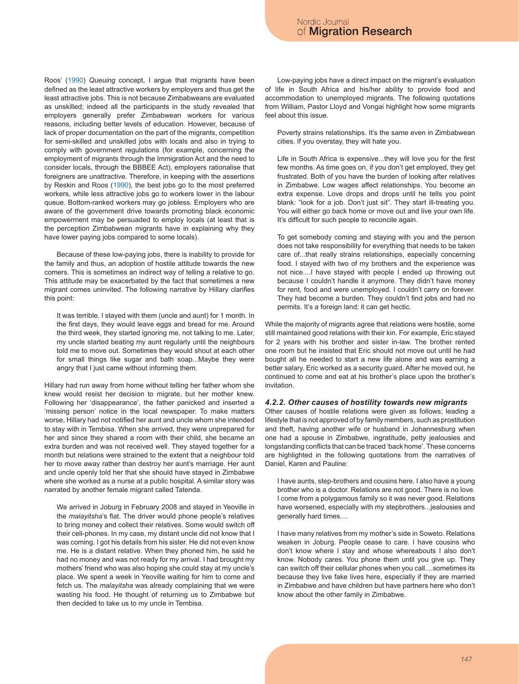Roos' (1990) *Queuing* concept, I argue that migrants have been defined as the least attractive workers by employers and thus get the least attractive jobs. This is not because Zimbabweans are evaluated as unskilled; indeed all the participants in the study revealed that employers generally prefer Zimbabwean workers for various reasons, including better levels of education. However, because of lack of proper documentation on the part of the migrants, competition for semi-skilled and unskilled jobs with locals and also in trying to comply with government regulations (for example, concerning the employment of migrants through the Immigration Act and the need to consider locals, through the BBBEE Act), employers rationalise that foreigners are unattractive. Therefore, in keeping with the assertions by Reskin and Roos (1990), the best jobs go to the most preferred workers, while less attractive jobs go to workers lower in the labour queue. Bottom-ranked workers may go jobless. Employers who are aware of the government drive towards promoting black economic empowerment may be persuaded to employ locals (at least that is the perception Zimbabwean migrants have in explaining why they have lower paying jobs compared to some locals).

Because of these low-paying jobs, there is inability to provide for the family and thus, an adoption of hostile attitude towards the new comers. This is sometimes an indirect way of telling a relative to go. This attitude may be exacerbated by the fact that sometimes a new migrant comes uninvited. The following narrative by Hillary clarifies this point:

It was terrible. I stayed with them (uncle and aunt) for 1 month. In the first days, they would leave eggs and bread for me. Around the third week, they started ignoring me, not talking to me. Later, my uncle started beating my aunt regularly until the neighbours told me to move out. Sometimes they would shout at each other for small things like sugar and bath soap...Maybe they were angry that I just came without informing them.

Hillary had run away from home without telling her father whom she knew would resist her decision to migrate, but her mother knew. Following her 'disappearance', the father panicked and inserted a 'missing person' notice in the local newspaper. To make matters worse, Hillary had not notified her aunt and uncle whom she intended to stay with in Tembisa. When she arrived, they were unprepared for her and since they shared a room with their child, she became an extra burden and was not received well. They stayed together for a month but relations were strained to the extent that a neighbour told her to move away rather than destroy her aunt's marriage. Her aunt and uncle openly told her that she should have stayed in Zimbabwe where she worked as a nurse at a public hospital. A similar story was narrated by another female migrant called Tatenda.

We arrived in Joburg in February 2008 and stayed in Yeoville in the *malayitsha*'s flat. The driver would phone people's relatives to bring money and collect their relatives. Some would switch off their cell-phones. In my case, my distant uncle did not know that I was coming. I got his details from his sister. He did not even know me. He is a distant relative. When they phoned him, he said he had no money and was not ready for my arrival. I had brought my mothers' friend who was also hoping she could stay at my uncle's place. We spent a week in Yeoville waiting for him to come and fetch us. The *malayitsha* was already complaining that we were wasting his food. He thought of returning us to Zimbabwe but then decided to take us to my uncle in Tembisa.

Low-paying jobs have a direct impact on the migrant's evaluation of life in South Africa and his/her ability to provide food and accommodation to unemployed migrants. The following quotations from William, Pastor Lloyd and Vongai highlight how some migrants feel about this issue.

Poverty strains relationships. It's the same even in Zimbabwean cities. If you overstay, they will hate you.

Life in South Africa is expensive...they will love you for the first few months. As time goes on, if you don't get employed, they get frustrated. Both of you have the burden of looking after relatives in Zimbabwe. Low wages affect relationships. You become an extra expense. Love drops and drops until he tells you point blank: "look for a job. Don't just sit". They start ill-treating you. You will either go back home or move out and live your own life. It's difficult for such people to reconcile again.

To get somebody coming and staying with you and the person does not take responsibility for everything that needs to be taken care of...that really strains relationships, especially concerning food. I stayed with two of my brothers and the experience was not nice....I have stayed with people I ended up throwing out because I couldn't handle it anymore. They didn't have money for rent, food and were unemployed. I couldn't carry on forever. They had become a burden. They couldn't find jobs and had no permits. It's a foreign land; it can get hectic.

While the majority of migrants agree that relations were hostile, some still maintained good relations with their kin. For example, Eric stayed for 2 years with his brother and sister in-law. The brother rented one room but he insisted that Eric should not move out until he had bought all he needed to start a new life alone and was earning a better salary. Eric worked as a security guard. After he moved out, he continued to come and eat at his brother's place upon the brother's invitation.

#### *4.2.2. Other causes of hostility towards new migrants*

Other causes of hostile relations were given as follows; leading a lifestyle that is not approved of by family members, such as prostitution and theft, having another wife or husband in Johannesburg when one had a spouse in Zimbabwe, ingratitude, petty jealousies and longstanding conflicts that can be traced 'back home'. These concerns are highlighted in the following quotations from the narratives of Daniel, Karen and Pauline:

I have aunts, step-brothers and cousins here. I also have a young brother who is a doctor. Relations are not good. There is no love. I come from a polygamous family so it was never good. Relations have worsened, especially with my stepbrothers...jealousies and generally hard times....

I have many relatives from my mother's side in Soweto. Relations weaken in Joburg. People cease to care. I have cousins who don't know where I stay and whose whereabouts I also don't know. Nobody cares. You phone them until you give up. They can switch off their cellular phones when you call....sometimes its because they live fake lives here, especially if they are married in Zimbabwe and have children but have partners here who don't know about the other family in Zimbabwe.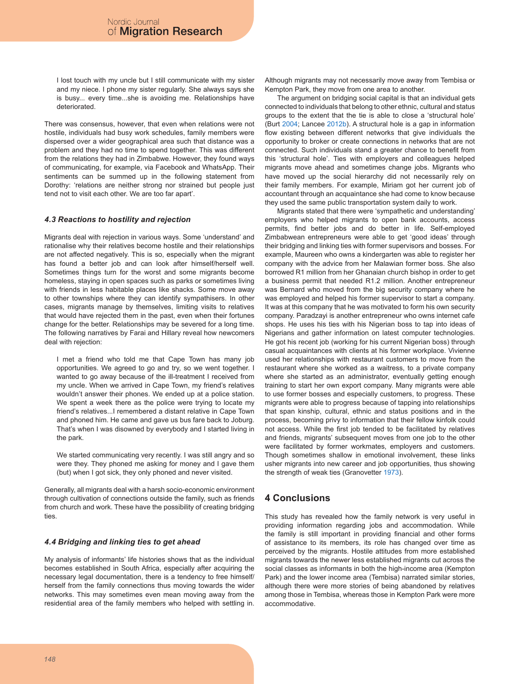I lost touch with my uncle but I still communicate with my sister and my niece. I phone my sister regularly. She always says she is busy... every time...she is avoiding me. Relationships have deteriorated.

There was consensus, however, that even when relations were not hostile, individuals had busy work schedules, family members were dispersed over a wider geographical area such that distance was a problem and they had no time to spend together. This was different from the relations they had in Zimbabwe. However, they found ways of communicating, for example, via Facebook and WhatsApp. Their sentiments can be summed up in the following statement from Dorothy: 'relations are neither strong nor strained but people just tend not to visit each other. We are too far apart'.

#### *4.3 Reactions to hostility and rejection*

Migrants deal with rejection in various ways. Some 'understand' and rationalise why their relatives become hostile and their relationships are not affected negatively. This is so, especially when the migrant has found a better job and can look after himself/herself well. Sometimes things turn for the worst and some migrants become homeless, staying in open spaces such as parks or sometimes living with friends in less habitable places like shacks. Some move away to other townships where they can identify sympathisers. In other cases, migrants manage by themselves, limiting visits to relatives that would have rejected them in the past, even when their fortunes change for the better. Relationships may be severed for a long time. The following narratives by Farai and Hillary reveal how newcomers deal with rejection:

I met a friend who told me that Cape Town has many job opportunities. We agreed to go and try, so we went together. I wanted to go away because of the ill-treatment I received from my uncle. When we arrived in Cape Town, my friend's relatives wouldn't answer their phones. We ended up at a police station. We spent a week there as the police were trying to locate my friend's relatives...I remembered a distant relative in Cape Town and phoned him. He came and gave us bus fare back to Joburg. That's when I was disowned by everybody and I started living in the park.

We started communicating very recently. I was still angry and so were they. They phoned me asking for money and I gave them (but) when I got sick, they only phoned and never visited.

Generally, all migrants deal with a harsh socio-economic environment through cultivation of connections outside the family, such as friends from church and work. These have the possibility of creating bridging ties.

### *4.4 Bridging and linking ties to get ahead*

My analysis of informants' life histories shows that as the individual becomes established in South Africa, especially after acquiring the necessary legal documentation, there is a tendency to free himself/ herself from the family connections thus moving towards the wider networks. This may sometimes even mean moving away from the residential area of the family members who helped with settling in.

Although migrants may not necessarily move away from Tembisa or Kempton Park, they move from one area to another.

The argument on bridging social capital is that an individual gets connected to individuals that belong to other ethnic, cultural and status groups to the extent that the tie is able to close a 'structural hole' (Burt 2004; Lancee 2012b). A structural hole is a gap in information flow existing between different networks that give individuals the opportunity to broker or create connections in networks that are not connected. Such individuals stand a greater chance to benefit from this 'structural hole'. Ties with employers and colleagues helped migrants move ahead and sometimes change jobs. Migrants who have moved up the social hierarchy did not necessarily rely on their family members. For example, Miriam got her current job of accountant through an acquaintance she had come to know because they used the same public transportation system daily to work.

Migrants stated that there were 'sympathetic and understanding' employers who helped migrants to open bank accounts, access permits, find better jobs and do better in life. Self-employed Zimbabwean entrepreneurs were able to get 'good ideas' through their bridging and linking ties with former supervisors and bosses. For example, Maureen who owns a kindergarten was able to register her company with the advice from her Malawian former boss. She also borrowed R1 million from her Ghanaian church bishop in order to get a business permit that needed R1.2 million. Another entrepreneur was Bernard who moved from the big security company where he was employed and helped his former supervisor to start a company. It was at this company that he was motivated to form his own security company. Paradzayi is another entrepreneur who owns internet cafe shops. He uses his ties with his Nigerian boss to tap into ideas of Nigerians and gather information on latest computer technologies. He got his recent job (working for his current Nigerian boss) through casual acquaintances with clients at his former workplace. Vivienne used her relationships with restaurant customers to move from the restaurant where she worked as a waitress, to a private company where she started as an administrator, eventually getting enough training to start her own export company. Many migrants were able to use former bosses and especially customers, to progress. These migrants were able to progress because of tapping into relationships that span kinship, cultural, ethnic and status positions and in the process, becoming privy to information that their fellow kinfolk could not access. While the first job tended to be facilitated by relatives and friends, migrants' subsequent moves from one job to the other were facilitated by former workmates, employers and customers. Though sometimes shallow in emotional involvement, these links usher migrants into new career and job opportunities, thus showing the strength of weak ties (Granovetter 1973).

# **4 Conclusions**

This study has revealed how the family network is very useful in providing information regarding jobs and accommodation. While the family is still important in providing financial and other forms of assistance to its members, its role has changed over time as perceived by the migrants. Hostile attitudes from more established migrants towards the newer less established migrants cut across the social classes as informants in both the high-income area (Kempton Park) and the lower income area (Tembisa) narrated similar stories, although there were more stories of being abandoned by relatives among those in Tembisa, whereas those in Kempton Park were more accommodative.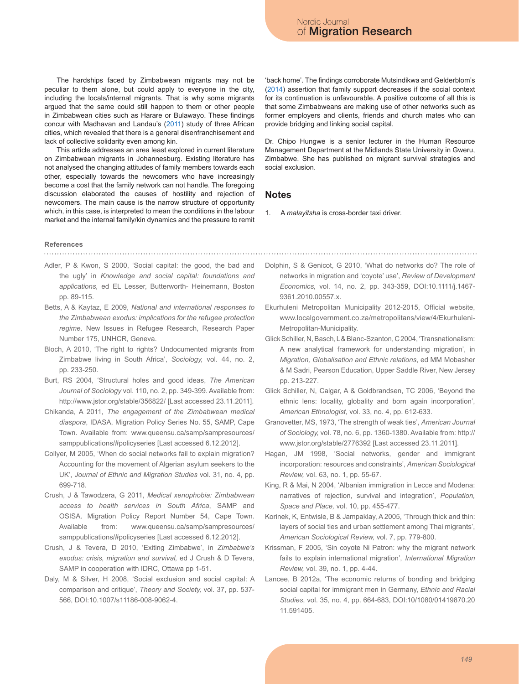The hardships faced by Zimbabwean migrants may not be peculiar to them alone, but could apply to everyone in the city, including the locals/internal migrants. That is why some migrants argued that the same could still happen to them or other people in Zimbabwean cities such as Harare or Bulawayo. These findings concur with Madhavan and Landau's (2011) study of three African cities, which revealed that there is a general disenfranchisement and lack of collective solidarity even among kin.

This article addresses an area least explored in current literature on Zimbabwean migrants in Johannesburg. Existing literature has not analysed the changing attitudes of family members towards each other, especially towards the newcomers who have increasingly become a cost that the family network can not handle. The foregoing discussion elaborated the causes of hostility and rejection of newcomers. The main cause is the narrow structure of opportunity which, in this case, is interpreted to mean the conditions in the labour market and the internal family/kin dynamics and the pressure to remit

'back home'. The findings corroborate Mutsindikwa and Gelderblom's (2014) assertion that family support decreases if the social context for its continuation is unfavourable. A positive outcome of all this is that some Zimbabweans are making use of other networks such as former employers and clients, friends and church mates who can provide bridging and linking social capital.

Dr. Chipo Hungwe is a senior lecturer in the Human Resource Management Department at the Midlands State University in Gweru, Zimbabwe. She has published on migrant survival strategies and social exclusion.

#### **Notes**

1. A *malayitsha* is cross-border taxi driver.

# **References**

- Adler, P & Kwon, S 2000, 'Social capital: the good, the bad and the ugly' in *Knowledge and social capital: foundations and applications,* ed EL Lesser, Butterworth- Heinemann, Boston pp. 89-115.
- Betts, A & Kaytaz, E 2009, *National and international responses to the Zimbabwean exodus: implications for the refugee protection regime,* New Issues in Refugee Research, Research Paper Number 175, UNHCR, Geneva.
- Bloch, A 2010, 'The right to rights? Undocumented migrants from Zimbabwe living in South Africa', *Sociology,* vol. 44, no. 2, pp. 233-250.
- Burt, RS 2004, 'Structural holes and good ideas, *The American Journal of Sociology* vol. 110, no. 2, pp. 349-399. Available from: http://www.jstor.org/stable/356822/ [Last accessed 23.11.2011].
- Chikanda, A 2011, *The engagement of the Zimbabwean medical diaspora*, IDASA, Migration Policy Series No. 55, SAMP, Cape Town. Available from: www.queensu.ca/samp/sampresources/ samppublications/#policyseries [Last accessed 6.12.2012].
- Collyer, M 2005, 'When do social networks fail to explain migration? Accounting for the movement of Algerian asylum seekers to the UK', *Journal of Ethnic and Migration Studies* vol. 31, no. 4, pp. 699-718.
- Crush, J & Tawodzera, G 2011, *Medical xenophobia: Zimbabwean access to health services in South Africa*, SAMP and OSISA. Migration Policy Report Number 54, Cape Town. Available from: www.queensu.ca/samp/sampresources/ samppublications/#policyseries [Last accessed 6.12.2012].
- Crush, J & Tevera, D 2010, 'Exiting Zimbabwe', in *Zimbabwe's exodus: crisis, migration and survival,* ed J Crush & D Tevera, SAMP in cooperation with IDRC, Ottawa pp 1-51.
- Daly, M & Silver, H 2008, 'Social exclusion and social capital: A comparison and critique', *Theory and Society,* vol. 37, pp. 537- 566, DOI:10.1007/s11186-008-9062-4.
- Dolphin, S & Genicot, G 2010, 'What do networks do? The role of networks in migration and 'coyote' use', *Review of Development Economics,* vol. 14, no. 2, pp. 343-359, DOI:10.1111/j.1467- 9361.2010.00557.x.
- Ekurhuleni Metropolitan Municipality 2012-2015, Official website, www.localgovernment.co.za/metropolitans/view/4/Ekurhuleni-Metropolitan-Municipality.
- Glick Schiller, N, Basch, L & Blanc-Szanton, C 2004, 'Transnationalism: A new analytical framework for understanding migration', in *Migration, Globalisation and Ethnic relations*, ed MM Mobasher & M Sadri, Pearson Education, Upper Saddle River, New Jersey pp. 213-227.
- Glick Schiller, N, Calgar, A & Goldbrandsen, TC 2006, 'Beyond the ethnic lens: locality, globality and born again incorporation', *American Ethnologist,* vol. 33, no. 4, pp. 612-633.
- Granovetter, MS, 1973, 'The strength of weak ties', *American Journal of Sociology,* vol. 78, no. 6, pp. 1360-1380. Available from: http:// www.jstor.org/stable/2776392 [Last accessed 23.11.2011].
- Hagan, JM 1998, 'Social networks, gender and immigrant incorporation: resources and constraints', *American Sociological Review,* vol. 63, no. 1, pp. 55-67.
- King, R & Mai, N 2004, 'Albanian immigration in Lecce and Modena: narratives of rejection, survival and integration', *Population, Space and Place,* vol. 10, pp. 455-477.
- Korinek, K, Entwisle, B & Jampaklay, A 2005, 'Through thick and thin: layers of social ties and urban settlement among Thai migrants', *American Sociological Review,* vol. 7, pp. 779-800.
- Krissman, F 2005, 'Sin coyote Ni Patron: why the migrant network fails to explain international migration', *International Migration Review,* vol. 39, no. 1, pp. 4-44.
- Lancee, B 2012a, 'The economic returns of bonding and bridging social capital for immigrant men in Germany, *Ethnic and Racial Studies*, vol. 35, no. 4, pp. 664-683, DOI:10/1080/01419870.20 11.591405.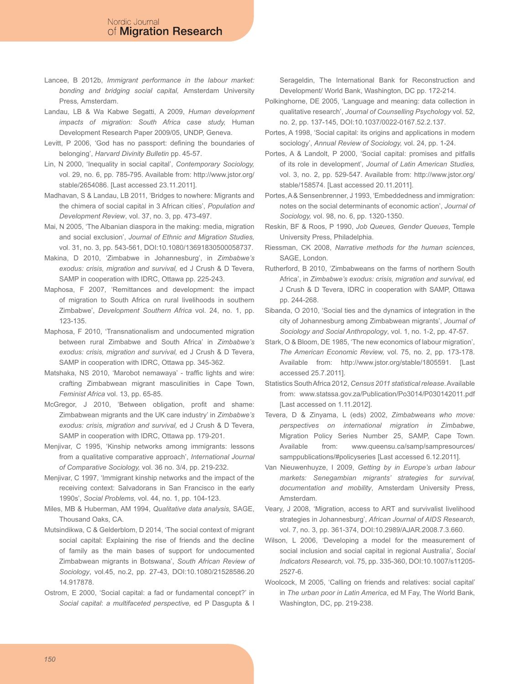- Lancee, B 2012b, *Immigrant performance in the labour market: bonding and bridging social capital,* Amsterdam University Press*,* Amsterdam.
- Landau, LB & Wa Kabwe Segatti, A 2009, *Human development impacts of migration: South Africa case study,* Human Development Research Paper 2009/05, UNDP, Geneva.
- Levitt, P 2006, 'God has no passport: defining the boundaries of belonging', *Harvard Divinity Bulletin* pp. 45-57.
- Lin, N 2000, 'Inequality in social capital', *Contemporary Sociology,* vol. 29, no. 6, pp. 785-795. Available from: http://www.jstor.org/ stable/2654086. [Last accessed 23.11.2011].
- Madhavan, S & Landau, LB 2011, 'Bridges to nowhere: Migrants and the chimera of social capital in 3 African cities', *Population and Development Review*, vol. 37, no. 3, pp. 473-497.
- Mai, N 2005, 'The Albanian diaspora in the making: media, migration and social exclusion', *Journal of Ethnic and Migration Studies,* vol. 31, no. 3, pp. 543-561, DOI:10.1080/13691830500058737.
- Makina, D 2010, 'Zimbabwe in Johannesburg', in *Zimbabwe's exodus: crisis, migration and survival,* ed J Crush & D Tevera, SAMP in cooperation with IDRC, Ottawa pp. 225-243.
- Maphosa, F 2007, 'Remittances and development: the impact of migration to South Africa on rural livelihoods in southern Zimbabwe', *Development Southern Africa* vol. 24, no. 1, pp. 123-135.
- Maphosa, F 2010, 'Transnationalism and undocumented migration between rural Zimbabwe and South Africa' in *Zimbabwe's exodus: crisis, migration and survival,* ed J Crush & D Tevera, SAMP in cooperation with IDRC, Ottawa pp. 345-362.
- Matshaka, NS 2010, 'Marobot nemawaya' traffic lights and wire: crafting Zimbabwean migrant masculinities in Cape Town, *Feminist Africa* vol. 13, pp. 65-85.
- McGregor, J 2010, 'Between obligation, profit and shame: Zimbabwean migrants and the UK care industry' in *Zimbabwe's exodus: crisis, migration and survival,* ed J Crush & D Tevera, SAMP in cooperation with IDRC, Ottawa pp. 179-201.
- Menjivar, C 1995, 'Kinship networks among immigrants: lessons from a qualitative comparative approach', *International Journal of Comparative Sociology,* vol. 36 no. 3/4, pp. 219-232.
- Menjivar, C 1997, 'Immigrant kinship networks and the impact of the receiving context: Salvadorans in San Francisco in the early 1990s', *Social Problems,* vol. 44, no. 1, pp. 104-123.
- Miles, MB & Huberman, AM 1994, *Qualitative data analysis,* SAGE, Thousand Oaks, CA.
- Mutsindikwa, C & Gelderblom, D 2014, 'The social context of migrant social capital: Explaining the rise of friends and the decline of family as the main bases of support for undocumented Zimbabwean migrants in Botswana', *South African Review of Sociology*, vol.45, no.2, pp. 27-43, DOI:10.1080/21528586.20 14.917878.
- Ostrom, E 2000, 'Social capital: a fad or fundamental concept?' in *Social capital*: *a multifaceted perspective,* ed P Dasgupta & I

Serageldin, The International Bank for Reconstruction and Development/ World Bank, Washington, DC pp. 172-214.

- Polkinghorne, DE 2005, 'Language and meaning: data collection in qualitative research', *Journal of Counselling Psychology* vol. 52, no. 2, pp. 137-145, DOI:10.1037/0022-0167.52.2.137.
- Portes, A 1998, 'Social capital: its origins and applications in modern sociology', *Annual Review of Sociology,* vol. 24, pp. 1-24.
- Portes, A & Landolt, P 2000, 'Social capital: promises and pitfalls of its role in development', *Journal of Latin American Studies,* vol. 3, no. 2, pp. 529-547. Available from: http://www.jstor.org/ stable/158574. [Last accessed 20.11.2011].
- Portes, A & Sensenbrenner, J 1993, 'Embeddedness and immigration: notes on the social determinants of economic action', *Journal of Sociology,* vol. 98, no. 6, pp. 1320-1350.
- Reskin, BF & Roos, P 1990, *Job Queues, Gender Queues*, Temple University Press, Philadelphia.
- Riessman, CK 2008, *Narrative methods for the human sciences*, SAGE, London.
- Rutherford, B 2010, 'Zimbabweans on the farms of northern South Africa', in *Zimbabwe's exodus: crisis, migration and survival,* ed J Crush & D Tevera, IDRC in cooperation with SAMP, Ottawa pp. 244-268.
- Sibanda, O 2010, 'Social ties and the dynamics of integration in the city of Johannesburg among Zimbabwean migrants', *Journal of Sociology and Social Anthropology*, vol. 1, no. 1-2, pp. 47-57.
- Stark, O & Bloom, DE 1985, 'The new economics of labour migration', *The American Economic Review,* vol. 75, no. 2, pp. 173-178. Available from: http://www.jstor.org/stable/1805591. [Last accessed 25.7.2011].
- Statistics South Africa 2012, *Census 2011 statistical release*. Available from: www.statssa.gov.za/Publication/Po3014/P030142011.pdf [Last accessed on 1.11.2012].
- Tevera, D & Zinyama, L (eds) 2002, *Zimbabweans who move: perspectives on international migration in Zimbabwe*, Migration Policy Series Number 25, SAMP, Cape Town. Available from: www.queensu.ca/samp/sampresources/ samppublications/#policyseries [Last accessed 6.12.2011].
- Van Nieuwenhuyze, I 2009, *Getting by in Europe's urban labour markets: Senegambian migrants' strategies for survival, documentation and mobility*, Amsterdam University Press, Amsterdam.
- Veary, J 2008, 'Migration, access to ART and survivalist livelihood strategies in Johannesburg', *African Journal of AIDS Research*, vol. 7, no. 3, pp. 361-374, DOI:10.2989/AJAR.2008.7.3.660.
- Wilson, L 2006, 'Developing a model for the measurement of social inclusion and social capital in regional Australia', *Social Indicators Research,* vol. 75, pp. 335-360, DOI:10.1007/s11205- 2527-6.
- Woolcock, M 2005, 'Calling on friends and relatives: social capital' in *The urban poor in Latin America*, ed M Fay, The World Bank, Washington, DC, pp. 219-238.